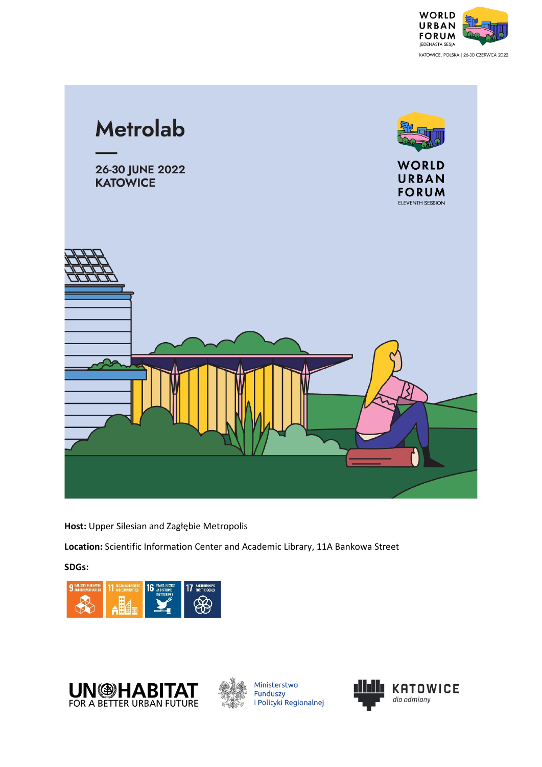



**Host:** Upper Silesian and Zagłębie Metropolis

**Location:** Scientific Information Center and Academic Library, 11A Bankowa Street

**SDGs:**